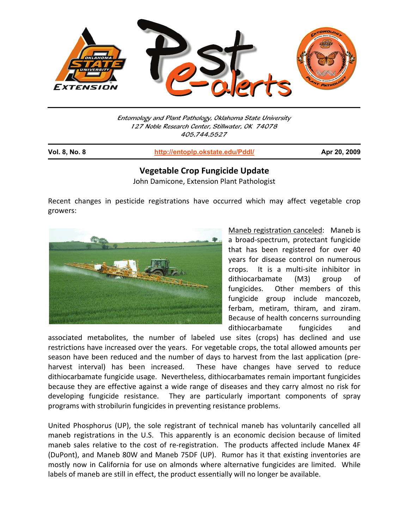

Entomology and Plant Pathology, Oklahoma State University 127 Noble Research Center, Stillwater, OK 74078 405.744.5527

| <b>Vol. 8, No. 8</b> | http://entoplp.okstate.edu/Pddl/ | Apr 20, 2009 |
|----------------------|----------------------------------|--------------|
|                      |                                  |              |

## **Vegetable Crop Fungicide Update**

John Damicone, Extension Plant Pathologist

Recent changes in pesticide registrations have occurred which may affect vegetable crop growers:



Maneb registration canceled: Maneb is a broad-spectrum, protectant fungicide that has been registered for over 40 years for disease control on numerous crops. It is a multi-site inhibitor in dithiocarbamate (M3) group of fungicides. Other members of this fungicide group include mancozeb, ferbam, metiram, thiram, and ziram. Because of health concerns surrounding dithiocarbamate fungicides and

associated metabolites, the number of labeled use sites (crops) has declined and use restrictions have increased over the years. For vegetable crops, the total allowed amounts per season have been reduced and the number of days to harvest from the last application (preharvest interval) has been increased. These have changes have served to reduce dithiocarbamate fungicide usage. Nevertheless, dithiocarbamates remain important fungicides because they are effective against a wide range of diseases and they carry almost no risk for developing fungicide resistance. They are particularly important components of spray programs with strobilurin fungicides in preventing resistance problems.

United Phosphorus (UP), the sole registrant of technical maneb has voluntarily cancelled all maneb registrations in the U.S. This apparently is an economic decision because of limited maneb sales relative to the cost of re-registration. The products affected include Manex 4F (DuPont), and Maneb 80W and Maneb 75DF (UP). Rumor has it that existing inventories are mostly now in California for use on almonds where alternative fungicides are limited. While labels of maneb are still in effect, the product essentially will no longer be available.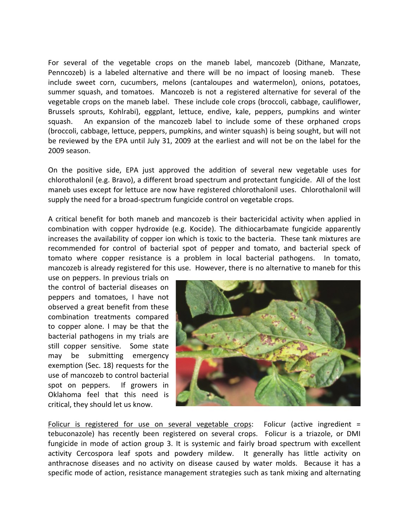For several of the vegetable crops on the maneb label, mancozeb (Dithane, Manzate, Penncozeb) is a labeled alternative and there will be no impact of loosing maneb. These include sweet corn, cucumbers, melons (cantaloupes and watermelon), onions, potatoes, summer squash, and tomatoes. Mancozeb is not a registered alternative for several of the vegetable crops on the maneb label. These include cole crops (broccoli, cabbage, cauliflower, Brussels sprouts, Kohlrabi), eggplant, lettuce, endive, kale, peppers, pumpkins and winter squash. An expansion of the mancozeb label to include some of these orphaned crops (broccoli, cabbage, lettuce, peppers, pumpkins, and winter squash) is being sought, but will not be reviewed by the EPA until July 31, 2009 at the earliest and will not be on the label for the 2009 season.

On the positive side, EPA just approved the addition of several new vegetable uses for chlorothalonil (e.g. Bravo), a different broad spectrum and protectant fungicide. All of the lost maneb uses except for lettuce are now have registered chlorothalonil uses. Chlorothalonil will supply the need for a broad-spectrum fungicide control on vegetable crops.

A critical benefit for both maneb and mancozeb is their bactericidal activity when applied in combination with copper hydroxide (e.g. Kocide). The dithiocarbamate fungicide apparently increases the availability of copper ion which is toxic to the bacteria. These tank mixtures are recommended for control of bacterial spot of pepper and tomato, and bacterial speck of tomato where copper resistance is a problem in local bacterial pathogens. In tomato, mancozeb is already registered for this use. However, there is no alternative to maneb for this

use on peppers. In previous trials on the control of bacterial diseases on peppers and tomatoes, I have not observed a great benefit from these combination treatments compared to copper alone. I may be that the bacterial pathogens in my trials are still copper sensitive. Some state may be submitting emergency exemption (Sec. 18) requests for the use of mancozeb to control bacterial spot on peppers. If growers in Oklahoma feel that this need is critical, they should let us know.



Folicur is registered for use on several vegetable crops: Folicur (active ingredient = tebuconazole) has recently been registered on several crops. Folicur is a triazole, or DMI fungicide in mode of action group 3. It is systemic and fairly broad spectrum with excellent activity Cercospora leaf spots and powdery mildew. It generally has little activity on anthracnose diseases and no activity on disease caused by water molds. Because it has a specific mode of action, resistance management strategies such as tank mixing and alternating